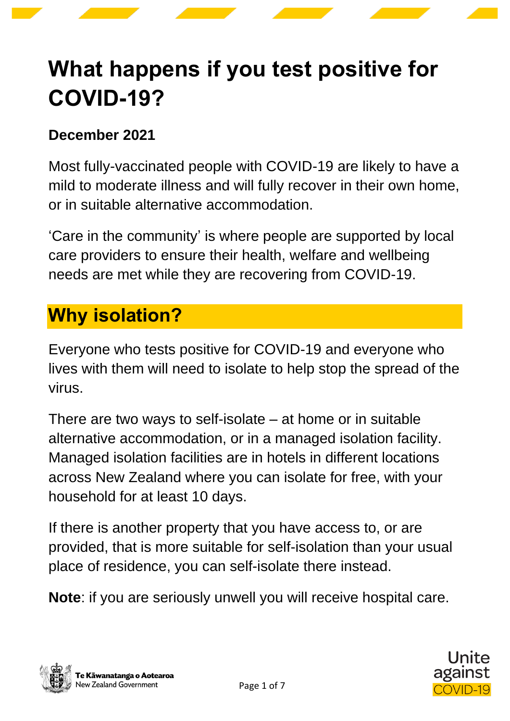# **What happens if you test positive for COVID-19?**

#### **December 2021**

Most fully-vaccinated people with COVID-19 are likely to have a mild to moderate illness and will fully recover in their own home, or in suitable alternative accommodation.

'Care in the community' is where people are supported by local care providers to ensure their health, welfare and wellbeing needs are met while they are recovering from COVID-19.

## **Why isolation?**

Everyone who tests positive for COVID-19 and everyone who lives with them will need to isolate to help stop the spread of the virus.

There are two ways to self-isolate – at home or in suitable alternative accommodation, or in a managed isolation facility. Managed isolation facilities are in hotels in different locations across New Zealand where you can isolate for free, with your household for at least 10 days.

If there is another property that you have access to, or are provided, that is more suitable for self-isolation than your usual place of residence, you can self-isolate there instead.

**Note**: if you are seriously unwell you will receive hospital care.

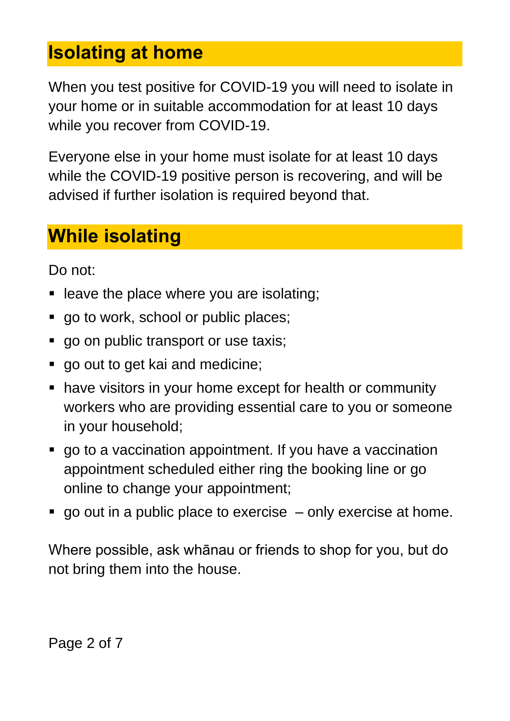#### **Isolating at home**

When you test positive for COVID-19 you will need to isolate in your home or in suitable accommodation for at least 10 days while you recover from COVID-19.

Everyone else in your home must isolate for at least 10 days while the COVID-19 positive person is recovering, and will be advised if further isolation is required beyond that.

### **While isolating**

Do not:

- leave the place where you are isolating:
- go to work, school or public places;
- **go on public transport or use taxis;**
- go out to get kai and medicine;
- have visitors in your home except for health or community workers who are providing essential care to you or someone in your household;
- go to a vaccination appointment. If you have a vaccination appointment scheduled either ring the booking line or go online to change your appointment;
- $\blacksquare$  go out in a public place to exercise only exercise at home.

Where possible, ask whānau or friends to shop for you, but do not bring them into the house.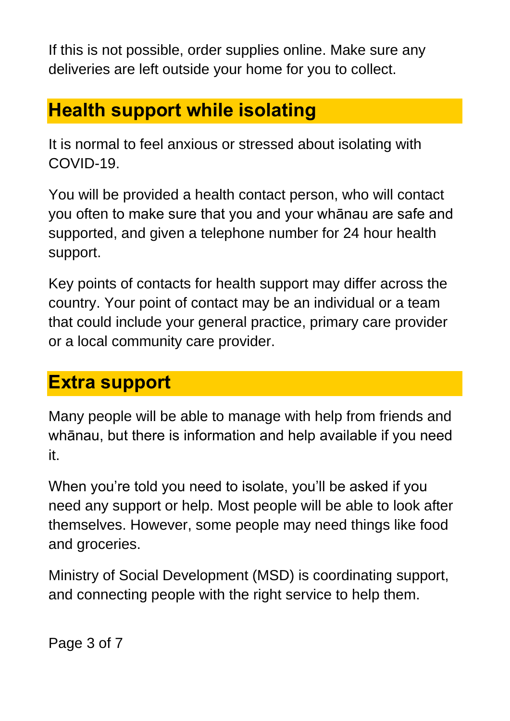If this is not possible, order supplies online. Make sure any deliveries are left outside your home for you to collect.

## **Health support while isolating**

It is normal to feel anxious or stressed about isolating with COVID-19.

You will be provided a health contact person, who will contact you often to make sure that you and your whānau are safe and supported, and given a telephone number for 24 hour health support.

Key points of contacts for health support may differ across the country. Your point of contact may be an individual or a team that could include your general practice, primary care provider or a local community care provider.

## **Extra support**

Many people will be able to manage with help from friends and whānau, but there is information and help available if you need it.

When you're told you need to isolate, you'll be asked if you need any support or help. Most people will be able to look after themselves. However, some people may need things like food and groceries.

Ministry of Social Development (MSD) is coordinating support, and connecting people with the right service to help them.

Page 3 of 7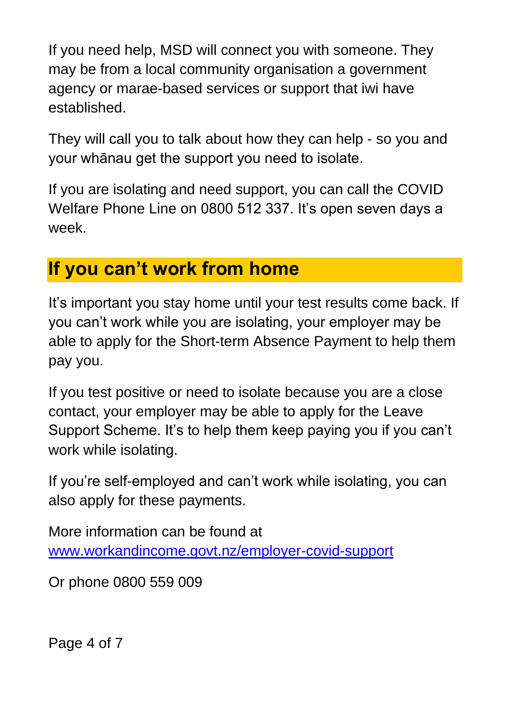If you need help, MSD will connect you with someone. They may be from a local community organisation a government agency or marae-based services or support that iwi have established.

They will call you to talk about how they can help - so you and your whānau get the support you need to isolate.

If you are isolating and need support, you can call the COVID Welfare Phone Line on 0800 512 337. It's open seven days a week.

## **If you can't work from home**

It's important you stay home until your test results come back. If you can't work while you are isolating, your employer may be able to apply for the Short-term Absence Payment to help them pay you.

If you test positive or need to isolate because you are a close contact, your employer may be able to apply for the Leave Support Scheme. It's to help them keep paying you if you can't work while isolating.

If you're self-employed and can't work while isolating, you can also apply for these payments.

More information can be found at [www.workandincome.govt.nz/employer-covid-support](http://www.workandincome.govt.nz/employer-covid-support)

Or phone [0800 559 009](tel:0800559009)

Page 4 of 7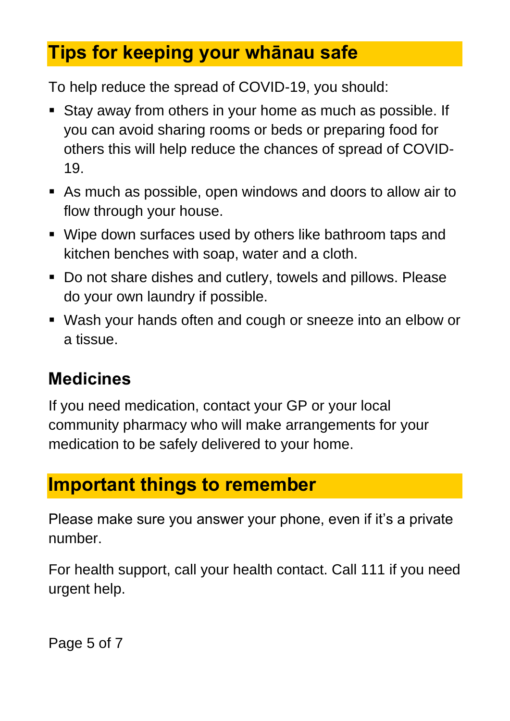## **Tips for keeping your whānau safe**

To help reduce the spread of COVID-19, you should:

- Stay away from others in your home as much as possible. If you can avoid sharing rooms or beds or preparing food for others this will help reduce the chances of spread of COVID-19.
- As much as possible, open windows and doors to allow air to flow through your house.
- Wipe down surfaces used by others like bathroom taps and kitchen benches with soap, water and a cloth.
- Do not share dishes and cutlery, towels and pillows. Please do your own laundry if possible.
- Wash your hands often and cough or sneeze into an elbow or a tissue.

#### **Medicines**

If you need medication, contact your GP or your local community pharmacy who will make arrangements for your medication to be safely delivered to your home.

## **Important things to remember**

Please make sure you answer your phone, even if it's a private number.

For health support, call your health contact. Call 111 if you need urgent help.

Page 5 of 7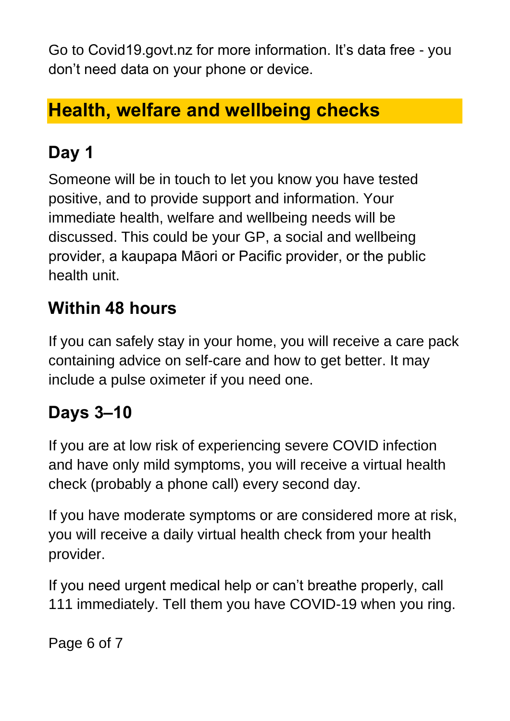Go to Covid19.govt.nz for more information. It's data free - you don't need data on your phone or device.

## **Health, welfare and wellbeing checks**

## **Day 1**

Someone will be in touch to let you know you have tested positive, and to provide support and information. Your immediate health, welfare and wellbeing needs will be discussed. This could be your GP, a social and wellbeing provider, a kaupapa Māori or Pacific provider, or the public health unit.

#### **Within 48 hours**

If you can safely stay in your home, you will receive a care pack containing advice on self-care and how to get better. It may include a pulse oximeter if you need one.

#### **Days 3–10**

If you are at low risk of experiencing severe COVID infection and have only mild symptoms, you will receive a virtual health check (probably a phone call) every second day.

If you have moderate symptoms or are considered more at risk, you will receive a daily virtual health check from your health provider.

If you need urgent medical help or can't breathe properly, call 111 immediately. Tell them you have COVID-19 when you ring.

Page 6 of 7